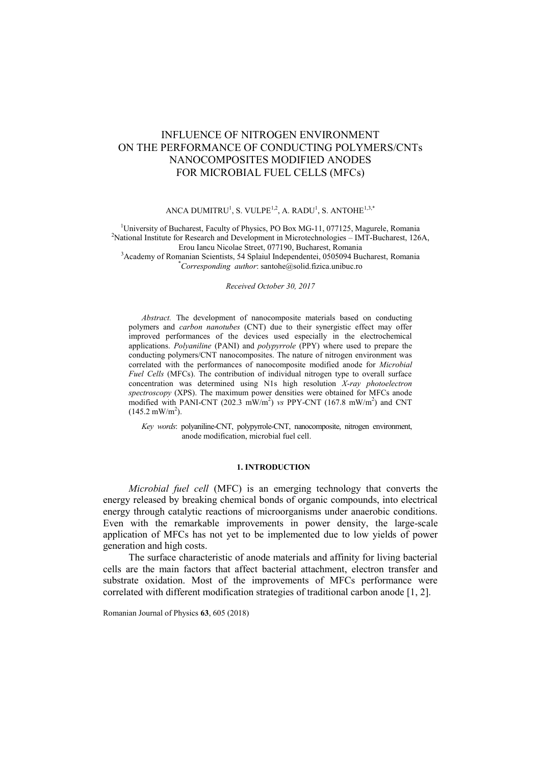# INFLUENCE OF NITROGEN ENVIRONMENT ON THE PERFORMANCE OF CONDUCTING POLYMERS/CNTs NANOCOMPOSITES MODIFIED ANODES FOR MICROBIAL FUEL CELLS (MFCs)

# ANCA DUMITRU<sup>1</sup>, S. VULPE<sup>1,2</sup>, A. RADU<sup>1</sup>, S. ANTOHE<sup>1,3,\*</sup>

<sup>1</sup>University of Bucharest, Faculty of Physics, PO Box MG-11, 077125, Magurele, Romania <sup>2</sup>National Institute for Research and Development in Microtechnologies – IMT-Bucharest, 126A, Erou Iancu Nicolae Street, 077190, Bucharest, Romania

<sup>3</sup>Academy of Romanian Scientists, 54 Splaiul Independentei, 0505094 Bucharest, Romania \**Corresponding author*: santohe@solid.fizica.unibuc.ro

*Received October 30, 2017*

*Abstract.* The development of nanocomposite materials based on conducting polymers and *carbon nanotubes* (CNT) due to their synergistic effect may offer improved performances of the devices used especially in the electrochemical applications. *Polyaniline* (PANI) and *polypyrrole* (PPY) where used to prepare the conducting polymers/CNT nanocomposites. The nature of nitrogen environment was correlated with the performances of nanocomposite modified anode for *Microbial Fuel Cells* (MFCs). The contribution of individual nitrogen type to overall surface concentration was determined using N1s high resolution *X-ray photoelectron spectroscopy* (XPS). The maximum power densities were obtained for MFCs anode modified with PANI-CNT (202.3 mW/m<sup>2</sup>) vs PPY-CNT (167.8 mW/m<sup>2</sup>) and CNT  $(145.2 \text{ mW/m}^2)$ .

*Key words*: polyaniline-CNT, polypyrrole-CNT, nanocomposite, nitrogen environment, anode modification, microbial fuel cell.

### **1. INTRODUCTION**

*Microbial fuel cell* (MFC) is an emerging technology that converts the energy released by breaking chemical bonds of organic compounds, into electrical energy through catalytic reactions of microorganisms under anaerobic conditions. Even with the remarkable improvements in power density, the large-scale application of MFCs has not yet to be implemented due to low yields of power generation and high costs.

The surface characteristic of anode materials and affinity for living bacterial cells are the main factors that affect bacterial attachment, electron transfer and substrate oxidation. Most of the improvements of MFCs performance were correlated with different modification strategies of traditional carbon anode [1, 2].

Romanian Journal of Physics **63**, 605 (2018)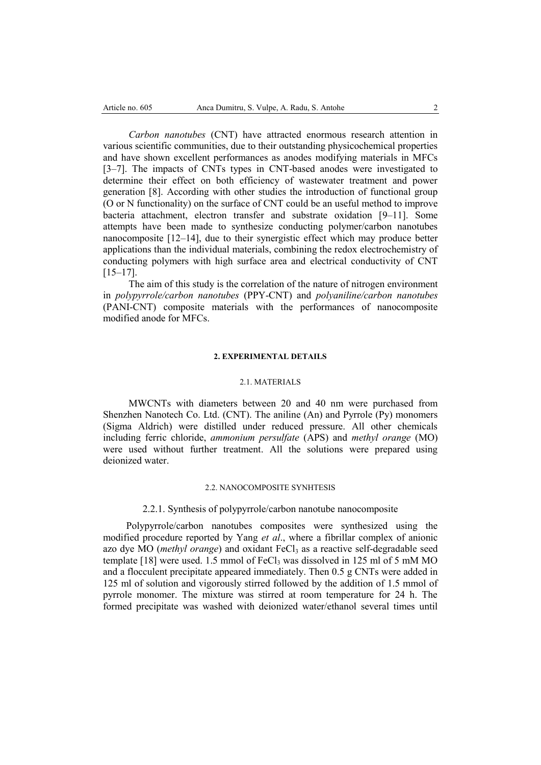*Carbon nanotubes* (CNT) have attracted enormous research attention in various scientific communities, due to their outstanding physicochemical properties and have shown excellent performances as anodes modifying materials in MFCs [3–7]. The impacts of CNTs types in CNT-based anodes were investigated to determine their effect on both efficiency of wastewater treatment and power generation [8]. According with other studies the introduction of functional group (O or N functionality) on the surface of CNT could be an useful method to improve bacteria attachment, electron transfer and substrate oxidation [9–11]. Some attempts have been made to synthesize conducting polymer/carbon nanotubes nanocomposite [12–14], due to their synergistic effect which may produce better applications than the individual materials, combining the redox electrochemistry of conducting polymers with high surface area and electrical conductivity of CNT [15–17].

The aim of this study is the correlation of the nature of nitrogen environment in *polypyrrole/carbon nanotubes* (PPY-CNT) and *polyaniline/carbon nanotubes*  (PANI-CNT) composite materials with the performances of nanocomposite modified anode for MFCs.

#### **2. EXPERIMENTAL DETAILS**

#### 2.1. MATERIALS

MWCNTs with diameters between 20 and 40 nm were purchased from Shenzhen Nanotech Co. Ltd. (CNT). The aniline (An) and Pyrrole (Py) monomers (Sigma Aldrich) were distilled under reduced pressure. All other chemicals including ferric chloride, *ammonium persulfate* (APS) and *methyl orange* (MO) were used without further treatment. All the solutions were prepared using deionized water.

# 2.2. NANOCOMPOSITE SYNHTESIS

#### 2.2.1. Synthesis of polypyrrole/carbon nanotube nanocomposite

Polypyrrole/carbon nanotubes composites were synthesized using the modified procedure reported by Yang *et al*., where a fibrillar complex of anionic azo dye MO (*methyl orange*) and oxidant FeCl<sub>3</sub> as a reactive self-degradable seed template [18] were used. 1.5 mmol of  $FeCl<sub>3</sub>$  was dissolved in 125 ml of 5 mM MO and a flocculent precipitate appeared immediately. Then 0.5 g CNTs were added in 125 ml of solution and vigorously stirred followed by the addition of 1.5 mmol of pyrrole monomer. The mixture was stirred at room temperature for 24 h. The formed precipitate was washed with deionized water/ethanol several times until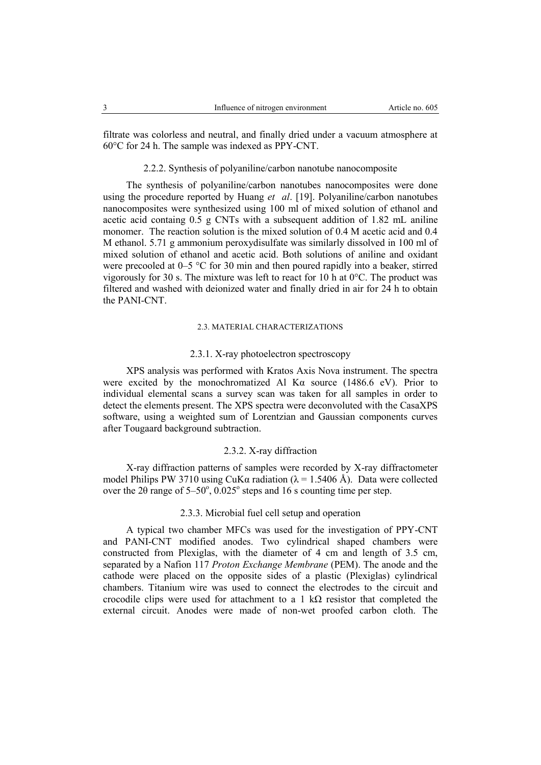filtrate was colorless and neutral, and finally dried under a vacuum atmosphere at 60°C for 24 h. The sample was indexed as PPY-CNT.

### 2.2.2. Synthesis of polyaniline/carbon nanotube nanocomposite

The synthesis of polyaniline/carbon nanotubes nanocomposites were done using the procedure reported by Huang *et al*. [19]. Polyaniline/carbon nanotubes nanocomposites were synthesized using 100 ml of mixed solution of ethanol and acetic acid containg 0.5 g CNTs with a subsequent addition of 1.82 mL aniline monomer. The reaction solution is the mixed solution of 0.4 M acetic acid and 0.4 M ethanol. 5.71 g ammonium peroxydisulfate was similarly dissolved in 100 ml of mixed solution of ethanol and acetic acid. Both solutions of aniline and oxidant were precooled at 0–5 °C for 30 min and then poured rapidly into a beaker, stirred vigorously for 30 s. The mixture was left to react for 10 h at 0°C. The product was filtered and washed with deionized water and finally dried in air for 24 h to obtain the PANI-CNT.

# 2.3. MATERIAL CHARACTERIZATIONS

### 2.3.1. X-ray photoelectron spectroscopy

XPS analysis was performed with Kratos Axis Nova instrument. The spectra were excited by the monochromatized Al Kα source (1486.6 eV). Prior to individual elemental scans a survey scan was taken for all samples in order to detect the elements present. The XPS spectra were deconvoluted with the CasaXPS software, using a weighted sum of Lorentzian and Gaussian components curves after Tougaard background subtraction.

# 2.3.2. X-ray diffraction

X-ray diffraction patterns of samples were recorded by X-ray diffractometer model Philips PW 3710 using CuK $\alpha$  radiation ( $\lambda = 1.5406$  Å). Data were collected over the 20 range of  $5-50^{\circ}$ ,  $0.025^{\circ}$  steps and 16 s counting time per step.

# 2.3.3. Microbial fuel cell setup and operation

A typical two chamber MFCs was used for the investigation of PPY-CNT and PANI-CNT modified anodes. Two cylindrical shaped chambers were constructed from Plexiglas, with the diameter of 4 cm and length of 3.5 cm, separated by a Nafion 117 *Proton Exchange Membrane* (PEM). The anode and the cathode were placed on the opposite sides of a plastic (Plexiglas) cylindrical chambers. Titanium wire was used to connect the electrodes to the circuit and crocodile clips were used for attachment to a 1 k $\Omega$  resistor that completed the external circuit. Anodes were made of non-wet proofed carbon cloth. The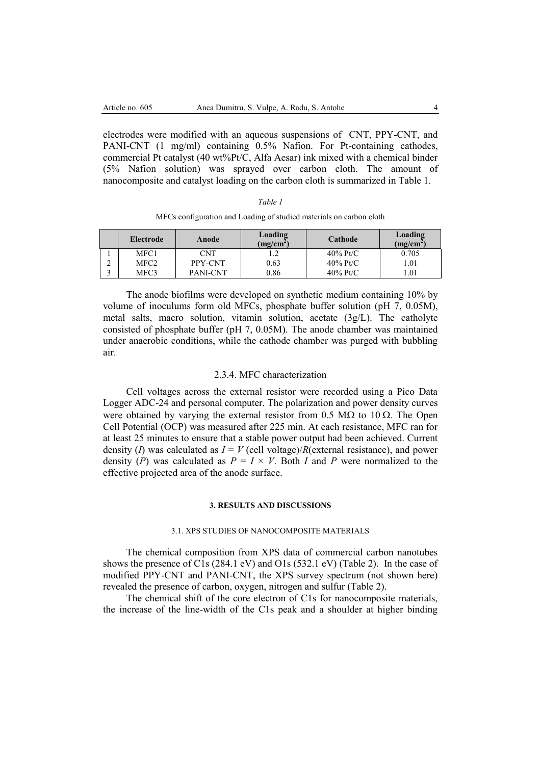electrodes were modified with an aqueous suspensions of CNT, PPY-CNT, and PANI-CNT (1 mg/ml) containing 0.5% Nafion. For Pt-containing cathodes, commercial Pt catalyst (40 wt%Pt/C, Alfa Aesar) ink mixed with a chemical binder (5% Nafion solution) was sprayed over carbon cloth. The amount of nanocomposite and catalyst loading on the carbon cloth is summarized in Table 1.

| MFCs configuration and Loading of studied materials on carbon cloth |  |  |  |
|---------------------------------------------------------------------|--|--|--|
|---------------------------------------------------------------------|--|--|--|

|   | Electrode | Anode           | Loading<br>(mg/cm <sup>2</sup> ) | Cathode     | Loading<br>$(mg/cm^2)$ |
|---|-----------|-----------------|----------------------------------|-------------|------------------------|
|   | MFC1      | CNT             |                                  | $40\%$ Pt/C | 0.705                  |
| ∸ | MFC2      | PPY-CNT         | 0.63                             | $40\%$ Pt/C | .01                    |
|   | MFC3      | <b>PANI-CNT</b> | 0.86                             | $40\%$ Pt/C | .01                    |

The anode biofilms were developed on synthetic medium containing 10% by volume of inoculums form old MFCs, phosphate buffer solution (pH 7, 0.05M), metal salts, macro solution, vitamin solution, acetate (3g/L). The catholyte consisted of phosphate buffer (pH 7, 0.05M). The anode chamber was maintained under anaerobic conditions, while the cathode chamber was purged with bubbling air.

### 2.3.4. MFC characterization

Cell voltages across the external resistor were recorded using a Pico Data Logger ADC-24 and personal computer. The polarization and power density curves were obtained by varying the external resistor from 0.5 M $\Omega$  to 10  $\Omega$ . The Open Cell Potential (OCP) was measured after 225 min. At each resistance, MFC ran for at least 25 minutes to ensure that a stable power output had been achieved. Current density (*I*) was calculated as  $I = V$  (cell voltage)/*R*(external resistance), and power density (*P*) was calculated as  $P = I \times V$ . Both *I* and *P* were normalized to the effective projected area of the anode surface.

#### **3. RESULTS AND DISCUSSIONS**

# 3.1. XPS STUDIES OF NANOCOMPOSITE MATERIALS

The chemical composition from XPS data of commercial carbon nanotubes shows the presence of C1s (284.1 eV) and O1s (532.1 eV) (Table 2). In the case of modified PPY-CNT and PANI-CNT, the XPS survey spectrum (not shown here) revealed the presence of carbon, oxygen, nitrogen and sulfur (Table 2).

The chemical shift of the core electron of C1s for nanocomposite materials, the increase of the line-width of the C1s peak and a shoulder at higher binding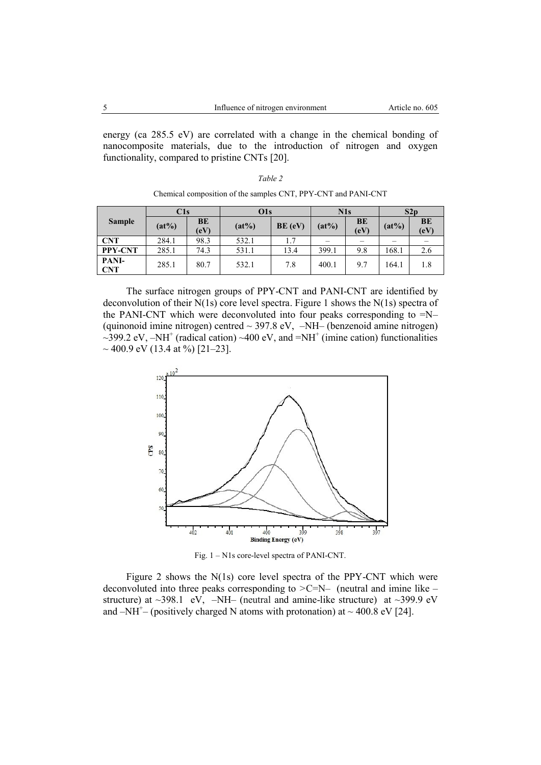energy (ca 285.5 eV) are correlated with a change in the chemical bonding of nanocomposite materials, due to the introduction of nitrogen and oxygen functionality, compared to pristine CNTs [20].

| ,, |  |
|----|--|
|    |  |

|                | C1s      |            | O1s      | N1s     |          | S2p        |          |            |
|----------------|----------|------------|----------|---------|----------|------------|----------|------------|
| <b>Sample</b>  | $(at\%)$ | BE<br>(eV) | $(at\%)$ | BE (eV) | $(at\%)$ | BE<br>(eV) | $(at\%)$ | BE<br>(eV) |
| <b>CNT</b>     | 284.1    | 98.3       | 532.1    | 1.7     |          |            |          |            |
| <b>PPY-CNT</b> | 285.1    | 74.3       | 531.1    | 13.4    | 399.1    | 9.8        | 168.1    | 2.6        |
| PANI-<br>CNT   | 285.1    | 80.7       | 532.1    | 7.8     | 400.1    | 9.7        | 164.1    | 1.8        |

Chemical composition of the samples CNT, PPY-CNT and PANI-CNT

The surface nitrogen groups of PPY-CNT and PANI-CNT are identified by deconvolution of their N(1s) core level spectra. Figure 1 shows the N(1s) spectra of the PANI-CNT which were deconvoluted into four peaks corresponding to =N– (quinonoid imine nitrogen) centred  $\sim$  397.8 eV,  $-NH$ – (benzenoid amine nitrogen)  $\sim$ 399.2 eV,  $-NH^+$  (radical cation)  $\sim$ 400 eV, and  $=NH^+$  (imine cation) functionalities  $\sim$  400.9 eV (13.4 at %) [21–23].



Fig. 1 – N1s core-level spectra of PANI-CNT.

Figure 2 shows the N(1s) core level spectra of the PPY-CNT which were deconvoluted into three peaks corresponding to *>*C=N– (neutral and imine like – structure) at  $\sim$ 398.1 eV,  $-NH$ – (neutral and amine-like structure) at  $\sim$ 399.9 eV and  $-NH^+$  (positively charged N atoms with protonation) at  $\sim$  400.8 eV [24].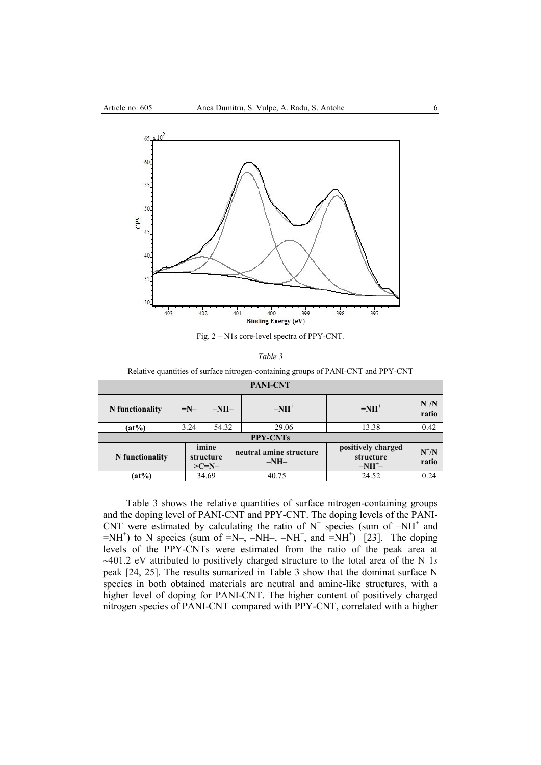

Fig. 2 – N1s core-level spectra of PPY-CNT.

Relative quantities of surface nitrogen-containing groups of PANI-CNT and PPY-CNT

| <b>PANI-CNT</b> |                 |                               |  |                                   |                                            |                          |  |  |  |
|-----------------|-----------------|-------------------------------|--|-----------------------------------|--------------------------------------------|--------------------------|--|--|--|
| N functionality | $=N-$           | $-NH-$                        |  | $-NH^+$                           | $=NH^+$                                    | $N^{\dagger}/N$<br>ratio |  |  |  |
| $(at\%)$        | 3.24            | 54.32                         |  | 29.06                             | 13.38                                      | 0.42                     |  |  |  |
|                 | <b>PPY-CNTs</b> |                               |  |                                   |                                            |                          |  |  |  |
| N functionality |                 | imine<br>structure<br>$>C=N-$ |  | neutral amine structure<br>$-NH-$ | positively charged<br>structure<br>$-NH^+$ | $N^+/N$<br>ratio         |  |  |  |
| $(at\%)$        |                 | 34.69                         |  | 40.75                             | 24.52                                      | 0.24                     |  |  |  |

Table 3 shows the relative quantities of surface nitrogen-containing groups and the doping level of PANI-CNT and PPY-CNT. The doping levels of the PANI-CNT were estimated by calculating the ratio of  $N^+$  species (sum of  $-NH^+$  and  $=NH^{+}$ ) to N species (sum of  $=N-$ ,  $-NH^{-}$ ,  $-NH^{+}$ , and  $=NH^{+}$ ) [23]. The doping levels of the PPY-CNTs were estimated from the ratio of the peak area at ~401.2 eV attributed to positively charged structure to the total area of the N 1*s*  peak [24, 25]. The results sumarized in Table 3 show that the dominat surface N species in both obtained materials are neutral and amine-like structures, with a higher level of doping for PANI-CNT. The higher content of positively charged nitrogen species of PANI-CNT compared with PPY-CNT, correlated with a higher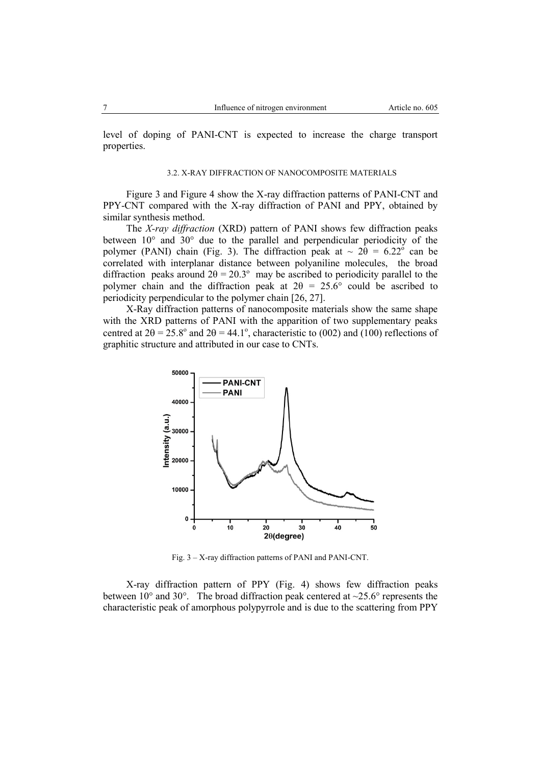level of doping of PANI-CNT is expected to increase the charge transport properties.

#### 3.2. X-RAY DIFFRACTION OF NANOCOMPOSITE MATERIALS

Figure 3 and Figure 4 show the X-ray diffraction patterns of PANI-CNT and PPY-CNT compared with the X-ray diffraction of PANI and PPY, obtained by similar synthesis method.

The *X-ray diffraction* (XRD) pattern of PANI shows few diffraction peaks between 10° and 30° due to the parallel and perpendicular periodicity of the polymer (PANI) chain (Fig. 3). The diffraction peak at  $\sim 2\theta = 6.22^{\circ}$  can be correlated with interplanar distance between polyaniline molecules, the broad diffraction peaks around  $2\theta = 20.3^{\circ}$  may be ascribed to periodicity parallel to the polymer chain and the diffraction peak at  $2\theta = 25.6^{\circ}$  could be ascribed to periodicity perpendicular to the polymer chain [26, 27].

X-Ray diffraction patterns of nanocomposite materials show the same shape with the XRD patterns of PANI with the apparition of two supplementary peaks centred at  $2\theta = 25.8^{\circ}$  and  $2\theta = 44.1^{\circ}$ , characteristic to (002) and (100) reflections of graphitic structure and attributed in our case to CNTs.



Fig. 3 – X-ray diffraction patterns of PANI and PANI-CNT.

X-ray diffraction pattern of PPY (Fig. 4) shows few diffraction peaks between  $10^{\circ}$  and  $30^{\circ}$ . The broad diffraction peak centered at  $\sim$ 25.6° represents the characteristic peak of amorphous polypyrrole and is due to the scattering from PPY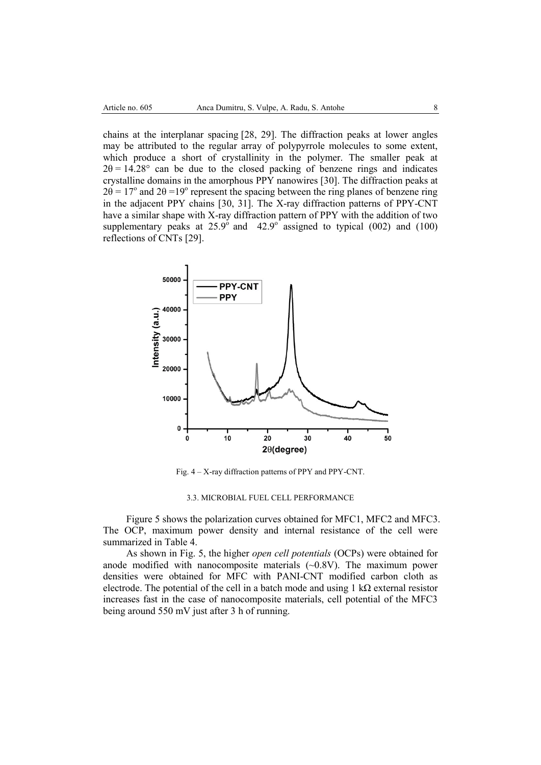chains at the interplanar spacing [28, 29]. The diffraction peaks at lower angles may be attributed to the regular array of polypyrrole molecules to some extent, which produce a short of crystallinity in the polymer. The smaller peak at  $2\theta = 14.28^{\circ}$  can be due to the closed packing of benzene rings and indicates crystalline domains in the amorphous PPY nanowires [30]. The diffraction peaks at  $2\theta = 17^{\circ}$  and  $2\theta = 19^{\circ}$  represent the spacing between the ring planes of benzene ring in the adjacent PPY chains [30, 31]. The X-ray diffraction patterns of PPY-CNT have a similar shape with X-ray diffraction pattern of PPY with the addition of two supplementary peaks at  $25.9^{\circ}$  and  $42.9^{\circ}$  assigned to typical (002) and (100) reflections of CNTs [29].



Fig. 4 – X-ray diffraction patterns of PPY and PPY-CNT.

### 3.3. MICROBIAL FUEL CELL PERFORMANCE

Figure 5 shows the polarization curves obtained for MFC1, MFC2 and MFC3. The OCP, maximum power density and internal resistance of the cell were summarized in Table 4.

As shown in Fig. 5, the higher *open cell potentials* (OCPs) were obtained for anode modified with nanocomposite materials  $(\sim 0.8$ V). The maximum power densities were obtained for MFC with PANI-CNT modified carbon cloth as electrode. The potential of the cell in a batch mode and using 1 kΩ external resistor increases fast in the case of nanocomposite materials, cell potential of the MFC3 being around 550 mV just after 3 h of running.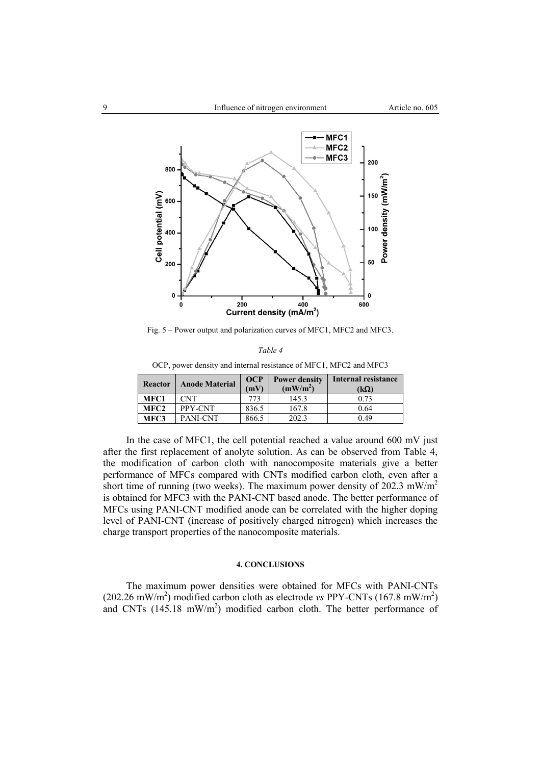

Fig. 5 – Power output and polarization curves of MFC1, MFC2 and MFC3.

| $\sigma$ , power density and internal resistance of $m_1$ or, $m_1$ or and $m_1$ |                       |       |                                              |                     |  |  |  |
|----------------------------------------------------------------------------------|-----------------------|-------|----------------------------------------------|---------------------|--|--|--|
| <b>Reactor</b>                                                                   | <b>Anode Material</b> |       | <b>Power density</b><br>(mW/m <sup>2</sup> ) | Internal resistance |  |  |  |
|                                                                                  |                       | (mV)  |                                              | (kΩ)                |  |  |  |
| MFC1                                                                             | <b>CNT</b>            | 773   | 145.3                                        | 0.73                |  |  |  |
| MFC <sub>2</sub>                                                                 | PPY-CNT               | 836.5 | 167.8                                        | 0.64                |  |  |  |
| MFC3                                                                             | PANI-CNT              | 866.5 | 202.3                                        | 0.49                |  |  |  |

*Table 4* OCP, power density and internal resistance of MFC1, MFC2 and MFC3

In the case of MFC1, the cell potential reached a value around 600 mV just after the first replacement of anolyte solution. As can be observed from Table 4, the modification of carbon cloth with nanocomposite materials give a better performance of MFCs compared with CNTs modified carbon cloth, even after a short time of running (two weeks). The maximum power density of 202.3 mW/m<sup>2</sup> is obtained for MFC3 with the PANI-CNT based anode. The better performance of MFCs using PANI-CNT modified anode can be correlated with the higher doping level of PANI-CNT (increase of positively charged nitrogen) which increases the charge transport properties of the nanocomposite materials.

# **4. CONCLUSIONS**

The maximum power densities were obtained for MFCs with PANI-CNTs  $(202.26 \text{ mW/m}^2)$  modified carbon cloth as electrode *vs* PPY-CNTs  $(167.8 \text{ mW/m}^2)$ and CNTs  $(145.18 \text{ mW/m}^2)$  modified carbon cloth. The better performance of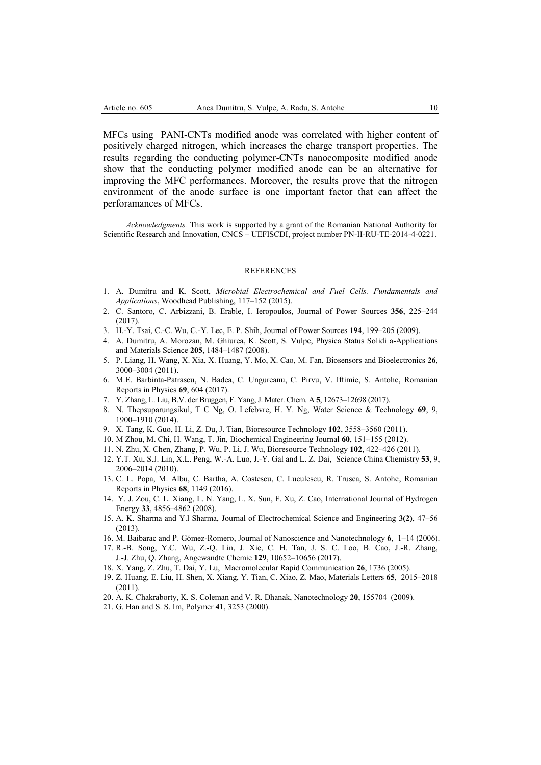MFCs using PANI-CNTs modified anode was correlated with higher content of positively charged nitrogen, which increases the charge transport properties. The results regarding the conducting polymer-CNTs nanocomposite modified anode show that the conducting polymer modified anode can be an alternative for improving the MFC performances. Moreover, the results prove that the nitrogen environment of the anode surface is one important factor that can affect the perforamances of MFCs.

*Acknowledgments.* This work is supported by a grant of the Romanian National Authority for Scientific Research and Innovation, CNCS – UEFISCDI, project number PN-II-RU-TE-2014-4-0221.

#### REFERENCES

- 1. A. Dumitru and K. Scott, *Microbial Electrochemical and Fuel Cells. Fundamentals and Applications*, Woodhead Publishing, 117–152 (2015).
- 2. C. Santoro, C. Arbizzani, B. Erable, I. Ieropoulos, Journal of Power Sources **356**, 225–244 (2017).
- 3. H.-Y. Tsai, C.-C. Wu, C.-Y. Lec, E. P. Shih, Journal of Power Sources **194**, 199–205 (2009).
- 4. A. Dumitru, A. Morozan, M. Ghiurea, K. Scott, S. Vulpe, Physica Status Solidi a-Applications and Materials Science **205**, 1484–1487 (2008).
- 5. P. Liang, H. Wang, X. Xia, X. Huang, Y. Mo, X. Cao, M. Fan, Biosensors and Bioelectronics **26**, 3000–3004 (2011).
- 6. M.E. Barbinta-Patrascu, N. Badea, C. Ungureanu, C. Pirvu, V. Iftimie, S. Antohe, Romanian Reports in Physics **69**, 604 (2017).
- 7. Y. Zhang, L. Liu, B.V. der Bruggen, F. Yang, J. Mater. Chem. A **5**, 12673–12698 (2017).
- 8. N. Thepsuparungsikul, T C Ng, O. Lefebvre, H. Y. Ng, Water Science & Technology **69**, 9, 1900–1910 (2014).
- 9. X. Tang, K. Guo, H. Li, Z. Du, J. Tian, Bioresource Technology **102**, 3558–3560 (2011).
- 10. M Zhou, M. Chi, H. Wang, T. Jin, Biochemical Engineering Journal **60**, 151–155 (2012).
- 11. N. Zhu, X. Chen, Zhang, P. Wu, P. Li, J. Wu, Bioresource Technology **102**, 422–426 (2011).
- 12. Y.T. Xu, S.J. Lin, X.L. Peng, W.-A. Luo, J.-Y. Gal and L. Z. Dai, Science China Chemistry **53**, 9, 2006–2014 (2010).
- 13. C. L. Popa, M. Albu, C. Bartha, A. Costescu, C. Luculescu, R. Trusca, S. Antohe, Romanian Reports in Physics **68**, 1149 (2016).
- 14. Y. J. Zou, C. L. Xiang, L. N. Yang, L. X. Sun, F. Xu, Z. Cao, International Journal of Hydrogen Energy **33**, 4856–4862 (2008).
- 15. A. K. Sharma and Y.l Sharma, Journal of Electrochemical Science and Engineering **3(2)**, 47–56 (2013).
- 16. M. Baibarac and P. Gómez-Romero, Journal of Nanoscience and Nanotechnology **6**, 1–14 (2006).
- 17. R.-B. Song, Y.C. Wu, Z.-Q. Lin, J. Xie, C. H. Tan, J. S. C. Loo, B. Cao, J.-R. Zhang, J.-J. Zhu, Q. Zhang, Angewandte Chemie **129**, 10652–10656 (2017).
- 18. X. Yang, Z. Zhu, T. Dai, Y. Lu, Macromolecular Rapid Communication **26**, 1736 (2005).
- 19. Z. Huang, E. Liu, H. Shen, X. Xiang, Y. Tian, C. Xiao, Z. Mao, Materials Letters **65**, 2015–2018 (2011).
- 20. A. K. Chakraborty, K. S. Coleman and V. R. Dhanak, Nanotechnology **20**, 155704 (2009).
- 21. G. Han and S. S. Im, Polymer **41**, 3253 (2000).